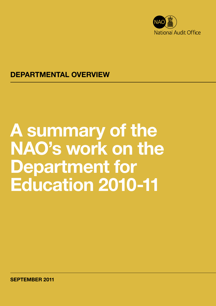

### DEPARTMENTAL OVERVIEW

# A summary of the NAO's work on the Department for Education 2010-11

SEPTEMBER 2011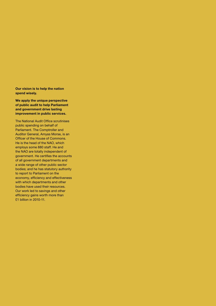Our vision is to help the nation spend wisely.

We apply the unique perspective of public audit to help Parliament and government drive lasting improvement in public services.

The National Audit Office scrutinises public spending on behalf of Parliament. The Comptroller and Auditor General, Amyas Morse, is an Officer of the House of Commons. He is the head of the NAO, which employs some 880 staff. He and the NAO are totally independent of government. He certifies the accounts of all government departments and a wide range of other public sector bodies; and he has statutory authority to report to Parliament on the economy, efficiency and effectiveness with which departments and other bodies have used their resources. Our work led to savings and other efficiency gains worth more than £1 billion in 2010-11.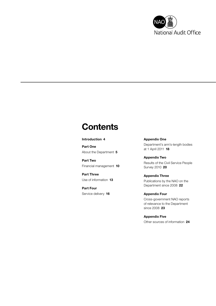

# **Contents**

#### [Introduction](#page-3-0) 4

[Part One](#page-4-0) [About the Department](#page-4-0) 5

[Part Two](#page-9-0) [Financial management](#page-9-0) 10

[Part Three](#page-12-0) [Use of information](#page-12-0) 13

[Part Four](#page-15-0) [Service delivery](#page-15-0) 16 [Appendix One](#page-17-0) [Department's arm's-length bodies](#page-17-0)  [at 1 April 2011](#page-17-0) 18

[Appendix Two](#page-19-0) [Results of the Civil Service People](#page-19-0)  [Survey 2010](#page-19-0) 20

[Appendix Three](#page-21-0) [Publications by the NAO on the](#page-21-0)  [Department since 2008](#page-21-0) 22

[Appendix Four](#page-22-0) [Cross-government NAO reports](#page-22-0)  [of relevance to the Department](#page-22-0)  [since 2008](#page-22-0) 23

[Appendix Five](#page-23-0) [Other sources of information](#page-23-0) 24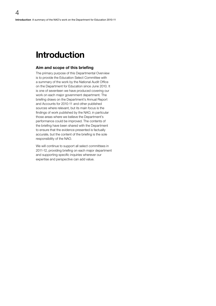### <span id="page-3-0"></span>Introduction

#### Aim and scope of this briefing

The primary purpose of this Departmental Overview is to provide the Education Select Committee with a summary of the work by the National Audit Office on the Department for Education since June 2010. It is one of seventeen we have produced covering our work on each major government department. The briefing draws on the Department's Annual Report and Accounts for 2010-11 and other published sources where relevant, but its main focus is the findings of work published by the NAO, in particular those areas where we believe the Department's performance could be improved. The contents of the briefing have been shared with the Department to ensure that the evidence presented is factually accurate, but the content of the briefing is the sole responsibility of the NAO.

We will continue to support all select committees in 2011-12, providing briefing on each major department and supporting specific inquiries wherever our expertise and perspective can add value.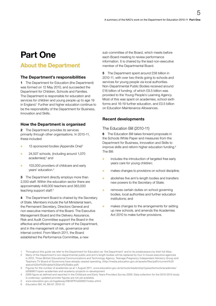# <span id="page-4-0"></span>Part One

### About the Department

#### The Department's responsibilities

1 The Department for Education (the Department) was formed on 12 May 2010, and succeeded the Department for Children, Schools and Families. The Department is responsible for education and services for children and young people up to age 19 in England.<sup>1</sup> Further and higher education continue to be the responsibility of the Department for Business, Innovation and Skills.

#### How the Department is organised

2 The Department provides its services primarily through other organisations. In 2010-11, these included:

- $\bullet$  13 sponsored bodies (Appendix One)<sup>2</sup>
- **C** 24,507 schools, (including around 1,070 academies);<sup>3</sup> and
- **o** 103,000 providers of childcare and early years' education.<sup>4</sup>

**3** The Department directly employs more than 2,500 staff. Within the education sector there are approximately 448,000 teachers and 363,000 teaching support staff.<sup>5</sup>

4 The Department Board is chaired by the Secretary of State. Members include the full Ministerial team, the Permanent Secretary, Directors General and non-executive members of the Board. The Executive Management Board and the Delivery Assurance, Risk and Audit Committee support the Board in the effective and efficient management of the Department, and in the management of risk, governance and internal control. From March 2011, the Board established the Performance Committee, a new

sub-committee of the Board, which meets before each Board meeting to review performance information. It is chaired by the lead non-executive member of the Departmental Board.

5 The Department spent around £58 billion in 2010-11, with over two thirds going to schools and services for young people via local authorities. Non-Departmental Public Bodies received around £16 billion of funding, of which £9.5 billion was provided to the Young People's Learning Agency. Most of this was spent on academies, school sixth forms and 16-19 further education, and £0.5 billion on Education Maintenance Allowances.

#### Recent developments

#### The Education Bill (2010-11)

6 The Education Bill takes forward proposals in the Schools White Paper and measures from the Department for Business, Innovation and Skills to improve skills and reform higher education funding.<sup>6</sup> The Bill:

- **•** includes the introduction of targeted free early years care for young children;
- makes changes to provisions on school discipline;
- abolishes five arm's-length bodies and transfers new powers to the Secretary of State;
- <sup>O</sup> removes certain duties on school governing bodies, local authorities and further education institutions; and
	- makes changes to the arrangements for setting up new schools, and amends the Academies Act 2010 to make further provisions.

Throughout this guide we refer to the Department for Education as 'the Department' and to its predecessors by their full titles.

<sup>2</sup> Many of the Department's non-departmental public and arm's length bodies will be replaced by four in-house executive agencies in 2012. Three (British Educational Communications and Technology Agency, Teenage Pregnancy Independent Advisory Group and Teachers TV Board of Governors) have already ceased operating. (http://media.education.gov.uk/assets/files/pdf/c/current%20 status%20of%20ndpbs%20and%20albs.pdf)

<sup>3</sup> Figures for the number of academies as at 1 August 2011. www.education.gov.uk/schools/leadership/typesofschools/academies/ b0069811/open-academies-and-academy-projects-in-development

<sup>4</sup> 2009 figure as defined and reported in the Childcare and Early Years Providers Survey 2009. Data collection for the 2010-2013 study is underway; updated provider figures are not yet available.

<sup>5</sup> www.education.gov.uk/rsgateway/DB/SFR?s000927/index.shtml

<sup>6</sup> *Education Bill*, HL Bill 67, 2010-12.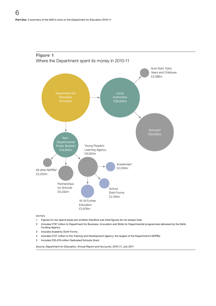

### Figure 1 Where the Department spent its money in 2010-11

NOTES

- 1 Figures for low spend areas are omitted; therefore sub-total figures do not always total.
- 2 Includes £797 million to Department for Business, Innovation and Skills for Departmental programmes delivered by the Skills Funding Agency.
- 3 Includes Academy Sixth Forms.
- 4 Includes £727 million to the Training and Development Agency, the largest of the Department's NDPBs.
- 5 Includes £30,478 million Dedicated Schools Grant.

*Source: Department for Education, Annual Report and Accounts, 2010-11, July 2011*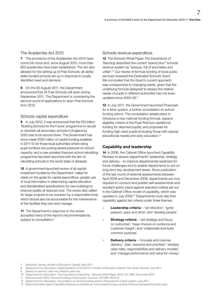#### The Academies Act 2010

**7** The provisions of the Academies Act 2010 have come into force and, since August 2010, more than 850 academies have been established. The Act also allowed for the setting up of Free Schools; all-ability state-funded schools set up in response to locally identified need and demand.

8 On the 30 August 2011, the Department announced that 24 Free Schools will open during September 2011. The Department is considering the second round of applications to open Free Schools from 2012.

#### Schools capital expenditure

9 In July 2010, it was announced that the £55 billion 'Building Schools for the Future' programme to rebuild or refurbish all secondary schools in England by 2023 was to be wound down. The Government has since made £500 million of capital funding available in 2011-12 for those local authorities where rising pupil numbers are putting severe pressure on school capacity, and a new privately financed school rebuilding programme has been launched with the aim of rebuilding schools in the worst state of disrepair.

10 A government-launched review of all capital investment funded by the Department $^7$  called for clarity on the goals for capital expenditure, greater use of local information in determining capital allocation and standardised specifications for new buildings to improve quality at reduced cost. The review also called for larger projects to be overseen by a responsible body which should also be accountable for the maintenance of the facilities they own and manage.

11 The Department's response to the review accepted many of the report's recommendations, subject to consultation.<sup>8</sup>

#### Schools revenue expenditure

12 The Schools White Paper *The Importance of*  Teaching described the current 'spend plus'<sup>9</sup> schools revenue system as "opaque, full of anomalies and unfair".10 Our review of formula funding of local public services reviewed the Dedicated Schools Grant. We concluded that the Grant's current approach was unresponsive to changing needs, given that the underlying formula designed to assess the relative needs of pupils in different authorities has not been updated since 2005-06.<sup>11</sup>

13 In July 2011, the Government launched *Proposals for a fairer system*, a further consultation on school funding reform. The consultation details plans to introduce a new national funding formula, expand eligibility criteria of the Pupil Premium (additional funding for deprived pupils), and proposals for funding high need pupils (including those with special educational needs) and early education.<sup>12</sup>

#### Capability and leadership

14 In 2006, the Cabinet Office launched Capability Reviews to assess departments' leadership, strategy and delivery – to improve departmental readiness for future challenges and to enable departments to act on long-term key development areas. Since publication of the last round of external assessments between April 2008 and December 2009, departments are now required to conduct and publish self-assessments and resultant action plans against standard criteria set out in the Cabinet Office model of capability, which was updated in July 2009.13 Departments must rate their capability against ten criteria under three themes:

- Leadership criteria 'set direction'; 'ignite passion, pace and drive'; and 'develop people'.
- **Strategy criteria**  $-$  'set strategy and focus on outcomes'; 'base choices on evidence and customer insight'; and 'collaborate and build common purpose'.
- **Delivery criteria** 'innovate and improve delivery'; 'plan, resource and prioritise'; 'develop clear roles, responsibilities and delivery models'; and 'manage performance and value for money'.

Based on spend in year one, lifted for year two.

<sup>7</sup> Sebastian James, *Review of Education Capital*, April 2011.

<sup>8</sup> Department for Education, *Implementation of the 2010-11 review of Education Capital (The James Review)*, July 2011.

<sup>10</sup> Department for Education, *The importance of teaching – Schools White Paper 2010*, Cm 7980, November 2010.

<sup>11</sup> National Audit Office, *[Formula funding of local public services](http://www.nao.org.uk/publications/1012/formula_funding.aspx)*, HC1090, 2010-12.

<sup>12</sup> Department for Education, *Consultation on school funding reform: Proposals for a fairer system*, July 2011.

<sup>13</sup> More information about Capability Reviews is available at: www.civilservice.gov.uk/about/improving/capability/index.aspx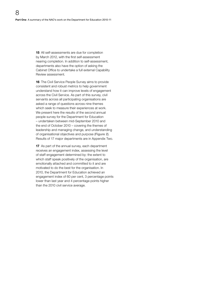15 All self-assessments are due for completion by March 2012, with the first self-assessment nearing completion. In addition to self-assessment, departments also have the option of asking the Cabinet Office to undertake a full external Capability Review assessment.

16 The Civil Service People Survey aims to provide consistent and robust metrics to help government understand how it can improve levels of engagement across the Civil Service. As part of this survey, civil servants across all participating organisations are asked a range of questions across nine themes which seek to measure their experiences at work. We present here the results of the second annual people survey for the Department for Education – undertaken between mid-September 2010 and the end of October 2010 – covering the themes of leadership and managing change, and understanding of organisational objectives and purpose (Figure 2). Results of 17 major departments are in Appendix Two.

17 As part of the annual survey, each department receives an engagement index, assessing the level of staff engagement determined by: the extent to which staff speak positively of the organisation, are emotionally attached and committed to it and are motivated to do the best for the organisation. In 2010, the Department for Education achieved an engagement index of 60 per cent, 3 percentage points lower than last year and 4 percentage points higher than the 2010 civil service average.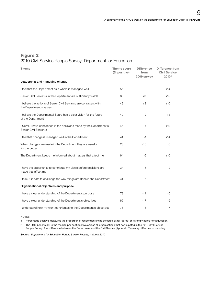### Figure 2

#### 2010 Civil Service People Survey: Department for Education

| <b>Theme</b>                                                                                  | Theme score<br>$(%$ positive) <sup>1</sup> | <b>Difference</b><br>from<br>2009 survey | <b>Difference from</b><br><b>Civil Service</b><br>2010 <sup>2</sup> |
|-----------------------------------------------------------------------------------------------|--------------------------------------------|------------------------------------------|---------------------------------------------------------------------|
| Leadership and managing change                                                                |                                            |                                          |                                                                     |
| I feel that the Department as a whole is managed well                                         | 55                                         | $-3$                                     | $+14$                                                               |
| Senior Civil Servants in the Department are sufficiently visible                              | 60                                         | $+3$                                     | $+15$                                                               |
| I believe the actions of Senior Civil Servants are consistent with<br>the Department's values | 49                                         | $+3$                                     | $+10$                                                               |
| I believe the Departmental Board has a clear vision for the future<br>of the Department       | 40                                         | $-12$                                    | $+5$                                                                |
| Overall, I have confidence in the decisions made by the Department's<br>Senior Civil Servants | 46                                         | -1                                       | $+10$                                                               |
| I feel that change is managed well in the Department                                          | 41                                         | -1                                       | $+14$                                                               |
| When changes are made in the Department they are usually<br>for the better                    | 23                                         | $-10$                                    | 0                                                                   |
| The Department keeps me informed about matters that affect me                                 | 64                                         | $-5$                                     | $+10$                                                               |
| I have the opportunity to contribute my views before decisions are<br>made that affect me     | 34                                         | -8                                       | $+2$                                                                |
| I think it is safe to challenge the way things are done in the Department                     | 41                                         | $-5$                                     | $+2$                                                                |
| Organisational objectives and purpose                                                         |                                            |                                          |                                                                     |
| I have a clear understanding of the Department's purpose                                      | 79                                         | $-11$                                    | -5                                                                  |
| I have a clear understanding of the Department's objectives                                   | 69                                         | $-17$                                    | -9                                                                  |
| I understand how my work contributes to the Department's objectives                           | 73                                         | $-13$                                    | $-7$                                                                |

NOTES

1 Percentage positive measures the proportion of respondents who selected either 'agree' or 'strongly agree' for a question.

2 The 2010 benchmark is the median per cent positive across all organisations that participated in the 2010 Civil Service People Survey. The difference between the Department and the Civil Service (Appendix Two) may differ due to rounding.

*Source: Department for Education People Survey Results, Autumn 2010*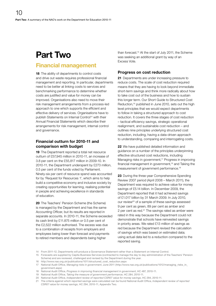# <span id="page-9-0"></span>Part Two

### Financial management

18 The ability of departments to control costs and drive out waste requires professional financial management and reporting. In particular, departments need to be better at linking costs to services and benchmarking performance to determine whether costs are justified and value for money can be improved. Organisations also need to move their risk management arrangements from a process-led approach to one which supports the efficient and effective delivery of services. Organisations have to publish Statements on Internal Control<sup>14</sup> with their Annual Financial Statements which describe their arrangements for risk management, internal control and governance.

#### Financial outturn for 2010-11 and comparison with budget

19 The Department reported a total net resource outturn of £57,945 million in 2010-11, an increase of 3.8 per cent on the £55,817 million in 2009-10. In 2010-11, the Department underspent by £273 million, 0.5 per cent of the funds voted by Parliament. Ninety-six per cent of resource spend was accounted for by 'Request for Resources 1', which aims to help build a competitive economy and inclusive society by creating opportunities for learning, realising potential in people and achieving excellence in standards of education.

20 The Teachers' Pension Scheme (the Scheme) is managed by the Department and has the same Accounting Officer, but its results are reported in separate accounts. In 2010-11, the Scheme exceeded its cash limit by £11.875 million or 0.5 per cent of the £2,522 million authorised. The excess was due to a combination of receipts from employers and employees being lower than forecast and payments to retired members and dependents being higher

than forecast.15 At the start of July 2011, the Scheme was seeking an additional grant by way of an Excess Vote.

#### Progress on cost reduction

21 Departments are under increasing pressure to reduce costs. The scale of cost reduction required means that they are having to look beyond immediate short-term savings and think more radically about how to take cost out of the business and how to sustain this longer term. Our Short Guide to Structured Cost Reduction,<sup>16</sup> published in June 2010, sets out the high level principles that we would expect departments to follow in taking a structured approach to cost reduction. It covers the three stages of cost reduction – tactical efficiency savings, strategic operational realignment, and sustainable cost reduction – and outlines nine principles underlying structured cost reduction, including, having a data-driven approach to understanding, comparing and interrogating costs.

22 We have published detailed information and guidance on a number of the principles underpinning effective structured cost reductions, including Managing risks in government,<sup>17</sup> Progress in improving financial management in government,<sup>18</sup> and Taking the measurement of government performance.<sup>19</sup>

23 During the three-year Comprehensive Spending Review 2007 period (April 2008 – March 2011), the Department was required to achieve value for money savings of £5.14 billion. In December 2009, the Department reported that it had achieved savings of £1.017 billion by 31 March 2009. In July 2010, our review<sup>20</sup> of a sample of these savings assessed 9 per cent as green, 89 per cent as amber and 2 per cent as red. $21$  The savings rated as amber were rated in this way because the Department could not demonstrate that schools have reinvested savings in priority areas. We rated £13 million of savings as red because the Department revised the calculation of savings which was based on estimated data; using actual data led to a reduction compared to the reported saving.

- 14 From 2011-12, Departments will produce a Governance Statement rather than a Statement on Internal Control.
- 15 Forecasts are supplied by Capita Business Services (contracted to manage the day to day administration of the Teachers' Pension Scheme) and are reviewed, challenged and revised by the Department during the year.
- 16 [http://www.nao.org.uk/publications/1011/structured\\_cost\\_reduction.aspx](http://www.nao.org.uk/publications/1011/structured_cost_reduction.aspx)
- 17 National Audit Office, *[Managing risks in government](http://www.nao.org.uk/publications/1012/managing_risks_in_government.aspx)*, June 2011 (http://www.nao.org.uk/publications/1012/managing\_risks\_in\_ government.aspx)
- 18 National Audit Office, *[Progress in improving financial management in government](http://www.nao.org.uk/publications/1011/financial_management_in_govt.aspx)*, HC 487, 2010-11.
- 19 National Audit Office, *[Taking the measure of government performance](http://www.nao.org.uk/publications/1011/government_performance.aspx)*, HC 284, 2010-11.
- 20 National Audit Office, *[Independent review of reported CSR07 value for money savings](http://www.nao.org.uk/publications/1011/vfm_savings_compendium.aspx)*, HC 294, 2010-11.
- 21 The criteria against which reported savings were calculated can be found National Audit Office, *[Independent review of reported](http://www.nao.org.uk/publications/1011/vfm_savings_compendium.aspx)  [CSR07 value for money savings](http://www.nao.org.uk/publications/1011/vfm_savings_compendium.aspx)*, HC 294, 2010-11, Appendix Two.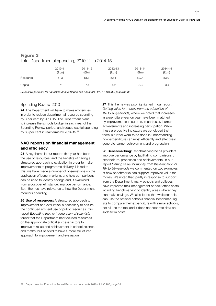#### Figure 3 Total Departmental spending, 2010-11 to 2014-15

|                                                                                         | 2010-11<br>(£bn) | 2011-12<br>$(\text{Ebn})$ | 2012-13<br>(£bn) | 2013-14<br>(Ebn) | 2014-15<br>(Ebn) |  |  |  |
|-----------------------------------------------------------------------------------------|------------------|---------------------------|------------------|------------------|------------------|--|--|--|
| Resource                                                                                | 51.3             | 51.3                      | 52.4             | 52.9             | 53.9             |  |  |  |
| Capital                                                                                 | 7.1              | 5.1                       | 4.2              | 3.3              | 3.4              |  |  |  |
| Source: Department for Education Annual Report and Accounts 2010-11, HC983, pages 34-35 |                  |                           |                  |                  |                  |  |  |  |

#### Spending Review 2010

24 The Department will have to make efficiencies in order to reduce departmental resource spending by 3 per cent by 2014-15. The Department plans to increase the schools budget in each year of the Spending Review period, and reduce capital spending by 60 per cent in real terms by 2014-15.<sup>22</sup>

#### NAO reports on financial management and efficiency

25 A key theme in our reports this year has been the use of resources, and the benefits of having a structured approach to evaluation in order to make improvements to programme delivery. Linked to this, we have made a number of observations on the application of benchmarking, and how comparisons can be used to identify savings and, if examined from a cost-benefit stance, improve performance. Both themes have relevance to how the Department monitors spending.

26 Use of resources: A structured approach to improvement and evaluation is necessary to ensure the continued efficient use of public resources. Our report *Educating the next generation of scientists* found that the Department had focused resources on the appropriate critical success factors to improve take-up and achievement in school science and maths, but needed to have a more structured approach to improvement and evaluation.

27 This theme was also highlighted in our report *Getting value for money from the education of 16- to 18-year-olds*, where we noted that increases in expenditure year on year have been matched by improvements in outputs, in particular, learner achievements and increasing participation. While these are positive indicators we concluded that there is further work to be done in understanding how expenditure can most efficiently and effectively generate learner achievement and progression.

28 Benchmarking: Benchmarking helps providers improve performance by facilitating comparisons of expenditure, processes and achievements. In our report *Getting value for money from the education of 16- to 18-year-olds* we commented on two examples of how benchmarks can support improved value for money. We noted that, partly in response to support from the Department, many schools and colleges have improved their management of back office costs, including benchmarking to identify areas where they can make savings. We also found that while schools can use the national schools financial benchmarking site to compare their expenditure with similar schools, not all use the tool and it does not separate data on sixth-form costs.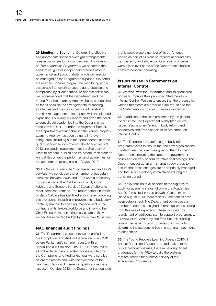29 Monitoring Spending: Determining effective and appropriate financial oversight arrangements is essential where funding is devolved. In our report on *The Academies Programme*, we observed that academies' greater independence brings risks to governance and accountability which will need to be managed as the Programme expands. We noted the need for rigorous programme monitoring and a systematic framework to secure good practice and compliance by all academies. To address this issue, we recommended that the Department and the Young People's Learning Agency should standardise as far as possible the arrangements for funding academies and plan resources for administration and risk management to keep pace with the planned expansion. Following our report, and given the need to consolidate academies into the Department's accounts for 2011-12 under the Alignment Project, the Department working through the Young People's Learning Agency has been trying to improve safeguards, including auditor independence and the quality of audit service offered. The Academies Act 2010, included a requirement for the Secretary of State to prepare, publish and lay before Parliament an Annual Report on the performance of academies for the academic year beginning 1 August 2010.

30 In *Cafcass's response to increased demand for its services*, we concluded that a number of budgetary increases between 2008 and 2010 were a necessary consequence of The Children and Family Court Advisory and Support Service ('Cafcass') efforts to meet increased demand. The report noted a number of steps Cafcass has identified and/or taken following this overspend, including improvements to budgetary controls, financial forecasting, management of the contracts of its flexible workforce and involving the Chief Executive in monitoring service areas likely to exceed the expected budget by more than 15 per cent.

#### NAO financial audit findings

31 The Department's accounts were certified by the Comptroller and Auditor General on 5 July 2011, before Parliament's summer recess, with an unqualified audit opinion. The 2010-11 accounts of all of the Department's related bodies audited by the Comptroller and Auditor General were certified before the recess and, with the exception of the Teachers' Pension Scheme, no qualifications were issued. In October 2010, the Department announced

that it would close a number of its arm's-length bodies as part of its plans to improve accountability, transparency and efficiency. As a result, concerns were raised over some of the Department's bodies' ability to continue operating.

#### Issues raised in Statements on Internal Control

**32** We work with the Department and its sponsored bodies to improve their published Statements on Internal Control. We aim to ensure that the process by which Statements are produced are robust and that the Statements comply with Treasury guidance.

33 In addition to the risks presented by the general fiscal climate, the Department highlighted control issues relating to arm's-length body reform and Academies and Free Schools in its Statement on Internal Control.

**34** The Department's arm's-length body reform programme aims to ensure that the new organisations created meet the objectives given to them by the Department, including the support of government policy and delivery of administrative cost savings. The Department set up an arm's-length body group to ensure that these changes are appropriately managed and that service delivery is maintained during the transition period.

35 The expansion to all schools of the eligibility to apply for academy status following the Academies Act 2010 resulted in rapid growth of academies (since August 2010, more than 850 academies have been established). The Department put in place a number of controls designed to manage issues arising from this rate of expansion. These included: the recruitment of additional staff to support programmes, a review of the Academy and Free Schools funding review mechanisms, and commissioning work to determine the accounting treatment of grant payments to academies.

36 The Young People's Learning Agency 2010-11 Annual Report and Accounts stated that, in terms of internal control issues, there remain significant challenges for the YPLA to build the systems that are needed for effective delivery of the Academies Programme.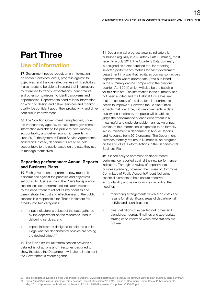# <span id="page-12-0"></span>Part Three

### Use of information

37 Government needs robust, timely information on context, activities, costs, progress against its objectives, and the cost-effectiveness of its activities. It also needs to be able to interpret that information, by reference to trends, expectations, benchmarks and other comparisons, to identify problems and opportunities. Departments need reliable information on which to design and deliver services and monitor quality, be confident about their productivity, and drive continuous improvement.

**38** The Coalition Government have pledged, under the transparency agenda, to make more government information available to the public to help improve accountability and deliver economic benefits. In June 2010, the system of Public Service Agreements ended and instead, departments are to be held accountable to the public based on the data they use to manage themselves.

#### Reporting performance: Annual Reports and Business Plans

39 Each government department now reports its performance against the priorities and objectives set out in its Business Plan. The Plan's transparency section includes performance indicators selected by the department to reflect its key priorities and demonstrate the cost and effectiveness of the public services it is responsible for. These indicators fall broadly into two categories:

- **o** input indicators: a subset of the data gathered by the department on the resources used in delivering services; and
- **o** impact indicators: designed to help the public judge whether departmental policies are having the desired effect.<sup>23</sup>

40 The Plan's structural reform section provides a detailed list of actions and milestones designed to show the steps the Department will take to implement the Government's reform agenda.

41 Departmental progress against indicators is published regularly in a Quarterly Data Summary, most recently in July 2011. The Quarterly Data Summary is designed as a standardised tool for reporting selected performance metrics for each government department in a way that facilitates comparison across departments where appropriate. Data published in the summary can be compared to the previous quarter (April 2011) which will also be the baseline for this data set. The information in the summary has not been audited and the Cabinet Office has said that the accuracy of the data for all departments needs to improve.23 However, the Cabinet Office expects that over time, with improvements in data quality and timeliness, the public will be able to judge the performance of each department in a meaningful and understandable manner. An annual version of this information is expected to be formally laid in Parliament in departments' Annual Reports and Accounts from 2012 onwards. The Department provides monthly returns to Number 10 on progress on the Structural Reform Actions in the Departmental Business Plan.

42 It is too early to comment on departmental performance reported against the new performance indicators. Through its review of departmental business planning, however, the House of Commons Committee of Public Accounts<sup>24</sup> identified some essential elements to help ensure effective accountability and value for money, including the need for:

- **o** monitoring arrangements which align costs and results for all significant areas of departmental activity and spending; and
- <sup>O</sup> clear definitions of expected outcomes and standards, rigorous timelines and appropriate strategies to intervene when expectations are not met.

<sup>23</sup> The latest data is available on the Department's website, www.cabinetoffice.gov.uk/resource-library/business-plan-quarterly-data-summary 24 *Departmental Business Planning* (Thirty-seventh Report of Session 2010-12), House of Commons Committee of Public Accounts, May 2011, http://www.publications.parliament.uk/pa/cm201012/cmselect/cmpubacc/650/650.pdf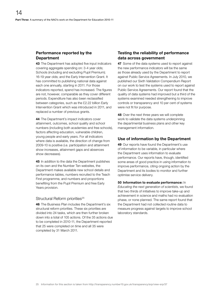#### Performance reported by the **Department**

43 The Department has adopted five input indicators covering aggregate spending on: 3-4 year olds; Schools (including and excluding Pupil Premium); 16-19 year olds; and the Early Intervention Grant. It has committed to publishing national data against each one annually, starting in 2011. For those indicators reported, spend has increased. The figures are not, however, comparable as they cover different periods. Expenditure has also been reclassified between categories, such as the £2.22 billion Early Intervention Grant which was introduced in 2011, and replaced a number of previous grants.

44 The Department's impact indicators cover attainment, outcomes, school quality and school numbers (including both academies and free schools), factors affecting education, vulnerable children, young people and early years. For all indicators where data is available, the direction of change from 2009-10 is positive (i.e. participation and attainment show increases, attainment gaps and absences show decreases).

45 In addition to the data the Department publishes on its own and the Number Ten websites, the Department makes available new school details and performance tables, numbers recruited to the Teach First programme, and numbers and proportions benefiting from the Pupil Premium and free Early Years provision.

#### Structural Reform priorities<sup>25</sup>

46 The Business Plan includes the Department's six structural reform priorities. These six priorities are divided into 24 tasks, which are then further broken down into a total of 105 actions. Of the 35 actions due to be completed in 2010-11, the Department reported that 25 were completed on time and all 35 were completed by 31 March 2011.

#### Testing the reliability of performance data across government

47 Some of the data systems used to report against the new performance indicators will be the same as those already used by the Department to report against Public Service Agreements. In July 2010, we published our Sixth Validation Compendium Report on our work to test the systems used to report against Public Service Agreements. Our report found that the quality of data systems had improved but a third of the systems examined needed strengthening to improve controls or transparency and 10 per cent of systems were not fit for purpose.

48 Over the next three years we will complete work to validate the data systems underpinning the departmental business plans and other key management information.

#### Use of information by the Department

49 Our reports have found the Department's use of information to be variable, in particular where the Department uses information to evaluate performance. Our reports have, though, identified some areas of good practice in using information to improve performance, citing ongoing action by the Department and its bodies to monitor and further optimise service delivery.

50 Information to evaluate performance: In *Educating the next generation of scientists*, we found that two thirds of initiatives to improve take-up and achievement in science and maths had no evaluation phase, or none planned. The same report found that the Department had not collected routine data to measure progress against targets to improve school laboratory standards.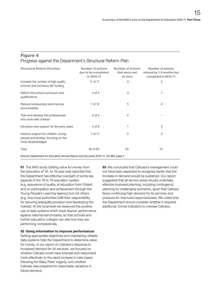#### Figure 4 Progress against the Department's Structural Reform Plan

| <b>Structural Reform Priorities</b>                                                               | Number of actions<br>due to be completed<br>in 2010-11 | Number of actions<br>that were met<br>on time | <b>Number of actions</b><br>missed by 1-3 months but<br>completed in 2010-11 |
|---------------------------------------------------------------------------------------------------|--------------------------------------------------------|-----------------------------------------------|------------------------------------------------------------------------------|
| Increase the number of high quality<br>schools and introduce fair funding                         | 11 of 17                                               | 9                                             | $\overline{2}$                                                               |
| Reform the school curriculum and<br>qualifications                                                | 4 of 4                                                 | 3                                             | 1                                                                            |
| Reduce bureaucracy and improve<br>accountability                                                  | 7 of 12                                                | 5                                             | $\overline{2}$                                                               |
| Train and develop the professionals<br>who work with children                                     | $2$ of $2$                                             | $\overline{2}$                                |                                                                              |
| Introduce new support for the early years                                                         | 4 of 8                                                 | 1                                             | 3                                                                            |
| Improve support for children, young<br>people and families, focusing on the<br>most disadvantaged | 7 of 17                                                | 5                                             | 2                                                                            |
| Total                                                                                             | 35 of 60                                               | 25                                            | 10                                                                           |
|                                                                                                   |                                                        |                                               |                                                                              |

*Source: Department for Education Annual Report and Accounts 2010-11, HC 983, page 7*

51 The NAO study *Getting value for money from the education of 16- to 18-year-olds* reported that the Department has effective oversight of some key aspects of the 16 to 18 education system (e.g. assurance of quality of education from Ofsted and on participation and achievement through the Young People's Learning Agency) but not others (e.g. how local authorities fulfill their responsibility for securing adequate provision and developing the market). At the local level we observed the positive use of data systems which track learner performance against national benchmarks, so that schools and further education colleges can see how they are performing comparatively.

#### 52 Using information to improve performance:

Setting appropriate objectives and maintaining reliable data systems help the Department to determine value for money. In our report on *Cafcass's response to increased demand for its services*, we focused on whether Cafcass could have forecast and responded more effectively to the rapid increase in care cases following the Baby Peter tragedy, and whether Cafcass was prepared for reasonable variations in future demand.

**53** We concluded that Cafcass's management could not have been expected to recognise earlier that the increase in demand would be sustained. Our report suggested that all service areas should undertake effective business planning, including contingency planning for challenging scenarios, given that Cafcass faces continuing high demand for its services and pressure for improved responsiveness. We noted that the Department should consider whether it required additional, formal indicators to oversee Cafcass.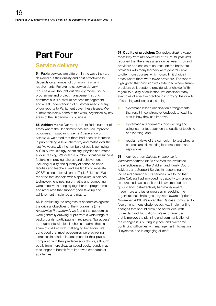# <span id="page-15-0"></span>Part Four

### Service delivery

54 Public services are different in the ways they are delivered but their quality and cost-effectiveness depends on a number of common minimum requirements. For example, service delivery requires a well thought-out delivery model, sound programme and project management, strong commercial skills, mature process management and a real understanding of customer needs. Many of our reports to Parliament cover these issues. We summarise below some of this work, organised by key areas of the Department's business.

**55 Achievement:** Our reports identified a number of areas where the Department has secured improved outcomes. In *Educating the next generation of scientists*, we noted that there had been an increase in pupils taking A-level chemistry and maths over the last five years, with the numbers of pupils achieving A-C in A-level biology, chemistry, physics and maths also increasing. We noted a number of critical success factors in improving take-up and achievement, including quality and quantity of school science facilities and teachers, and availability of separate GCSE sciences (provision of 'Triple Science'). We reported that schools with a specialism in science, technology, engineering or maths and computing were effective in bringing together the programmes and resources that support good take-up and achievement in science and maths.

**56** In evaluating the progress of academies against the original objectives of the Programme (*The Academies Programme*), we found that academies were generally drawing pupils from a wide range of backgrounds, participating in reciprocal 'fair access' arrangements with local schools to admit their fair share of children with challenging behaviour. We concluded that most academies were achieving increases in academic attainment for their pupils compared with their predecessor schools, although pupils from more disadvantaged backgrounds may take longer to benefit from improved standards at academies.

57 Quality of provision: Our review *Getting value for money from the education of 16- to 18-year-olds* reported that there was a tension between choice of providers and choice of courses, on the basis that providers with many learners were generally able to offer more courses, which could limit choice in areas where there were fewer providers. The report highlighted that provision was extended where smaller providers collaborate to provide wider choice. With regard to quality of education, we observed many examples of effective practice in improving the quality of teaching and learning including:

- **O** systematic lesson observation arrangements that result in constructive feedback to teaching staff in how they can improve;
- **o** systematic arrangements for collecting and using learner feedback on the quality of teaching and learning; and
- <sup>O</sup> regular reviews of the curriculum to test whether courses are still meeting learners' needs and aspirations.

58 In our report on *Cafcass's response to increased demand for its services*, we evaluated the effectiveness of the Children and Family Court Advisory and Support Service in responding to increased demand for its services. We found that while Cafcass had improved its capacity to manage its increased caseload, it could have reacted more quickly and cost-effectively had management made more and faster progress in resolving the organisational challenges they were aware of prior to November 2008. We noted that Cafcass continued to face an enormous challenge but was implementing changes that should allow it to better deal with future demand fluctuations. We recommended that it improve the planning and communication of the changes it is putting in place, and overcome continuing difficulties with management information, IT systems, and in engaging all staff.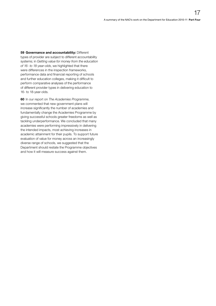59 Governance and accountability: Different types of provider are subject to different accountability systems; in *Getting value for money from the education of 16- to 18-year-olds*, we highlighted that there were differences in the inspection frameworks, performance data and financial reporting of schools and further education colleges, making it difficult to perform comparative analyses of the performance of different provider types in delivering education to 16- to 18-year-olds.

60 In our report on *The Academies Programme*, we commented that new government plans will increase significantly the number of academies and fundamentally change the Academies Programme by giving successful schools greater freedoms as well as tackling underperformance. We concluded that many academies were performing impressively in delivering the intended impacts, most achieving increases in academic attainment for their pupils. To support future evaluation of value for money across an increasingly diverse range of schools, we suggested that the Department should restate the Programme objectives and how it will measure success against them.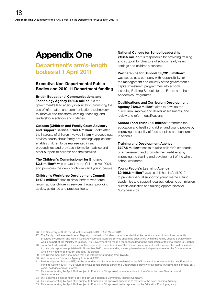# <span id="page-17-0"></span>Appendix One

### Department's arm's-length bodies at 1 April 2011

#### Executive Non-Departmental Public Bodies and 2010-11 Department funding

British Educational Communications and Technology Agency £189.6 million $26$  is the government's lead agency in education promoting the use of information and communications technology to improve and transform learning, teaching, and leadership in schools and colleges.

Cafcass (Children and Family Court Advisory and Support Service) £143.4 million<sup>27</sup> looks after the interests of children involved in family proceedings; advises courts about family proceedings applications; enables children to be represented in such proceedings; and provides information, advice and other support to children and their families.

#### The Children's Commissioner for England

£2.5 million<sup>28</sup> was created by the Children Act 2004, and promotes the views of children and young people.

#### Children's Workforce Development Council

£117.4 million<sup>29</sup> aims to drive forward workforce reform across children's services through providing advice, guidance and practical tools.

#### National College for School Leadership

£108.5 million<sup>30</sup> is responsible for providing training and support for directors of schools, early years settings and children's services.

#### Partnerships for Schools £5,231.6 million<sup>31</sup>

was set up as a company with responsibility for the management and delivery of the government's capital investment programmes into schools, including Building Schools for the Future and the Academies Programme.

#### Qualifications and Curriculum Development

Agency £128.0 million<sup>32</sup> aims to develop the curriculum, improve and deliver assessments, and review and reform qualifications.

School Food Trust £6.9 million<sup>33</sup> promotes the education and health of children and young people by improving the quality of food supplied and consumed in schools.

#### Training and Development Agency

£727.5 million<sup>34</sup> seeks to raise children's standards of achievement and promote their well-being by improving the training and development of the whole school workforce.

#### Young People's Learning Agency

£9,499.6 million<sup>35</sup> was established in April 2010 to provide financial support to young learners, fund academies and support local authorities to commission suitable education and training opportunities for 16-19 year olds.

- 26 The Secretary of State for Education abolished BECTA in March 2011.
- 27 The Family Justice review Interim Report, published on 31 March recommended that the court social work functions currently provided by Children and Family Court Advisory and Support Service should be subsumed within the Family Justice Service which would be part of the Ministry of Justice. The Government will make a response following the publication of the final report in October.
- 28 John Dunford carried out a review of the powers, remit and function of the Commissioner as well as the impact the post has made to date. His report was published in November 2010, recommending a strengthened more independent role for the Commissioner, which will need to be brought about by legislation.
- 29 The Government has announced that it is withdrawing funding from CWDC.
- 30 Will become an Executive Agency from April 2012.
- 31 Partnerships for Schools (PfS) will be wound up and its functions transferred to the DfE policy directorates and the new Education Funding Agency (EFA). PfS's future role was considered as part of the Department's Review of all capital investment in schools, early years, colleges and sixth forms.
- 32 Finishes operating by April 2012 subject to Education Bill approval, some functions to transfer to the new Standards and Testing Agency.
- 33 Will become an independent body and set up a separate Community Interest Company.
- 34 Finishes operating by April 2012 subject to Education Bill approval, functions to transfer to the new Teaching Agency.
- 35 Finishes operating by April 2012 subject to Education Bill approval, to be replaced by the Education Funding Agency.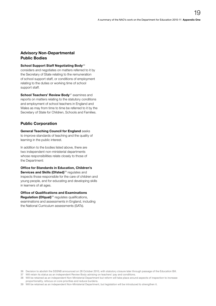#### Advisory Non-Departmental Public Bodies

#### School Support Staff Negotiating Body<sup>36</sup>

considers and negotiates on matters referred to it by the Secretary of State relating to the remuneration of school support staff, or conditions of employment relating to the duties or working time of school support staff.

School Teachers' Review Body<sup>37</sup> examines and reports on matters relating to the statutory conditions and employment of school teachers in England and Wales as may from time to time be referred to it by the Secretary of State for Children, Schools and Families.

#### Public Corporation

General Teaching Council for England seeks to improve standards of teaching and the quality of learning in the public interest.

In addition to the bodies listed above, there are two independent non-ministerial departments whose responsibilities relate closely to those of the Department:

Office for Standards in Education, Children's Services and Skills (Ofsted)<sup>38</sup> regulates and inspects those responsible for the care of children and young people, and for educating and developing skills in learners of all ages.

Office of Qualifications and Examinations Regulation (Ofqual)<sup>39</sup> regulates qualifications, examinations and assessments in England, including the National Curriculum assessments (SATs).

<sup>36</sup> Decision to abolish the SSSNB announced on 28 October 2010, with statutory closure later through passage of the Education Bill.

<sup>37</sup> Will retain its status as an independent Review Body advising on teachers' pay and conditions.

<sup>38</sup> Will be retained as an independent Non-Ministerial Department but reform will take place around aspects of inspection to increase proportionality, refocus on core priorities and reduce burdens.

<sup>39</sup> Will be retained as an independent Non-Ministerial Department, but legislation will be introduced to strengthen it.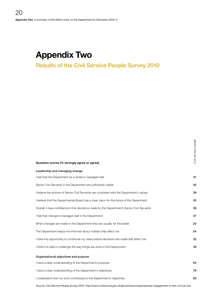# <span id="page-19-0"></span>Appendix Two

### Results of the Civil Service People Survey 2010

| Question scores (% strongly agree or agree)                                                | g<br>8<br>Civil |
|--------------------------------------------------------------------------------------------|-----------------|
| Leadership and managing change                                                             |                 |
| I feel that the Department as a whole is managed well                                      | 41              |
| Senior Civil Servants in the Department are sufficiently visible                           | 45              |
| I believe the actions of Senior Civil Servants are consistent with the Department's values | 39              |
| I believe that the Departmental Board has a clear vision for the future of the Department  | 35              |
| Overall, I have confidence in the decisions made by the Department's Senior Civil Servants | 36              |
| I feel that change is managed well in the Department                                       | 27              |
| When changes are made in the Department they are usually for the better                    | 23              |
| The Department keeps me informed about matters that affect me                              | 54              |
| I have the opportunity to contribute my views before decisions are made that affect me     | 32 <sub>2</sub> |
| I think it is safe to challenge the way things are done in the Department                  | 39              |
| Organisational objectives and purpose                                                      |                 |
| I have a clear understanding of the Department's purpose                                   | 84              |
| I have a clear understanding of the Department's objectives                                | 78              |
| I understand how my work contributes to the Department's objectives                        | 80              |
|                                                                                            |                 |

*[Source: Civil Service People Survey 2010, http://www.civilservice.gov.uk/about/improving/employee-engagement-in-the-civil-service](http://www.civilservice.gov.uk/about/improving/employee-engagement-in-the-civil-service)*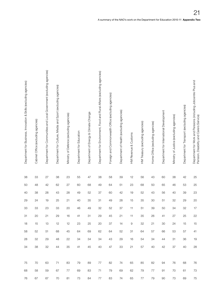| Department for Business, Innovation & Skills (excluding agencies) | Department for Communities and Local Government (excluding agencies)<br>Cabinet Office (excluding agencies) | Department for Culture, Media and Sport (excluding agencies) | Ministry of Defence (excluding agencies) | Department for Education | Department of Energy & Climate Change | Department for Environment, Food and Rural Affairs (excluding agencies) | Foreign and Commonwealth Office (excluding agencies) | Department of Health (excluding agencies) | HM Revenue & Customs | HM Treasury (excluding agencies) | Home Office (excluding agencies) | Department for International Development | Ministry of Justice (excluding agencies) | Department for Transport (excluding agencies) | Department for Work and Pensions (including Jobcentre Plus and<br>Pension Disability and Carect Continu<br><b>Service</b><br>Carers<br>sability and<br>ision, Di |
|-------------------------------------------------------------------|-------------------------------------------------------------------------------------------------------------|--------------------------------------------------------------|------------------------------------------|--------------------------|---------------------------------------|-------------------------------------------------------------------------|------------------------------------------------------|-------------------------------------------|----------------------|----------------------------------|----------------------------------|------------------------------------------|------------------------------------------|-----------------------------------------------|------------------------------------------------------------------------------------------------------------------------------------------------------------------|
| $38\,$                                                            | $33\,$<br>27                                                                                                | $38\,$                                                       | 23                                       | $55\,$                   | $47\,$                                | 38                                                                      | 58                                                   | $39\,$                                    | 12                   | 56                               | 43                               | 60                                       | $38\,$                                   | 42                                            | 25                                                                                                                                                               |
| $50\,$                                                            | 42<br>48                                                                                                    | 62                                                           | 27                                       | 60                       | 68                                    | 49                                                                      | 64                                                   | 51                                        | 23                   | 68                               | 50                               | 65                                       | 46                                       | 53                                            | 25                                                                                                                                                               |
| $40\,$                                                            | 38<br>28                                                                                                    | 43                                                           | 28                                       | 49                       | $52\,$                                | 37                                                                      | 60                                                   | 42                                        | 19                   | 52                               | 43                               | 56                                       | 40                                       | 39                                            | $23\,$                                                                                                                                                           |
| $29\,$                                                            | 24<br>19                                                                                                    | $25\,$                                                       | 21                                       | 40                       | $35\,$                                | 31                                                                      | 49                                                   | 28                                        | 15 <sub>15</sub>     | $35\,$                           | 30                               | 51                                       | $32\,$                                   | 29                                            | $20\,$                                                                                                                                                           |
| $33\,$                                                            | 33<br>$23\,$                                                                                                | $33\,$                                                       | $20\,$                                   | 46                       | 49                                    | 32                                                                      | $52\,$                                               | 37                                        | 11                   | 51                               | 39                               | 50                                       | 34                                       | 32                                            | $17$                                                                                                                                                             |
| 31                                                                | 20<br>21                                                                                                    | 29                                                           | 16                                       | 41                       | 31                                    | 29                                                                      | 45                                                   | 21                                        | 11                   | $35\,$                           | 26                               | 41                                       | 27                                       | 25                                            | 22                                                                                                                                                               |
| 18                                                                | 15<br>13                                                                                                    | 12                                                           | 12                                       | 23                       | 25                                    | 20                                                                      | 37                                                   | 14                                        | 9                    | 32                               | 21                               | 30                                       | 24                                       | 15                                            | $15\,$                                                                                                                                                           |
| 58                                                                | 52<br>51                                                                                                    | 68                                                           | 45                                       | 64                       | 69                                    | 62                                                                      | 64                                                   | 52                                        | -31                  | 64                               | 57                               | 66                                       | 53                                       | 57                                            | 41                                                                                                                                                               |
| 28                                                                | 32<br>29                                                                                                    | 48                                                           | 22                                       | 34                       | 34                                    | 34                                                                      | 43                                                   | 29                                        | 16                   | 54                               | 34                               | 44                                       | -31                                      | 36                                            | 19                                                                                                                                                               |
| 34                                                                | 38<br>32                                                                                                    | 44                                                           | 35                                       | 41                       | 45                                    | 40                                                                      | 47                                                   | 33                                        | 21                   | 57                               | 40                               | 42                                       | 37                                       | 40                                            | 28                                                                                                                                                               |
| 75                                                                | 70<br>63                                                                                                    | 71                                                           | 83                                       | 79                       | 89                                    | 77                                                                      | 82                                                   | 74                                        | 65                   | 85                               | 82                               | 94                                       | 76                                       | 68                                            | - 76                                                                                                                                                             |
|                                                                   |                                                                                                             |                                                              |                                          |                          |                                       |                                                                         |                                                      |                                           |                      |                                  |                                  |                                          |                                          |                                               |                                                                                                                                                                  |
| 68                                                                | 58<br>59                                                                                                    | 67                                                           | 77                                       | 69                       | 83                                    | 71                                                                      | 79                                                   | 69                                        | 62                   | 79                               | 77                               | 91                                       | 70                                       | 61                                            | 73                                                                                                                                                               |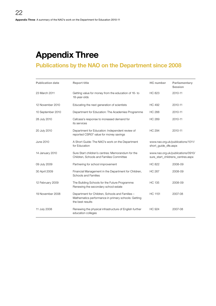# <span id="page-21-0"></span>Appendix Three

### Publications by the NAO on the Department since 2008

| <b>Publication date</b> | <b>Report title</b>                                                                                                        | <b>HC</b> number     | Parliamentary<br><b>Session</b>                                        |
|-------------------------|----------------------------------------------------------------------------------------------------------------------------|----------------------|------------------------------------------------------------------------|
| 23 March 2011           | Getting value for money from the education of 16- to<br>18-year-olds                                                       | <b>HC 823</b>        | 2010-11                                                                |
| 12 November 2010        | Educating the next generation of scientists                                                                                | <b>HC 492</b>        | 2010-11                                                                |
| 10 September 2010       | Department for Education: The Academies Programme                                                                          | <b>HC 288</b>        | 2010-11                                                                |
| 28 July 2010            | Cafcass's response to increased demand for<br>its services                                                                 | <b>HC 289</b>        | 2010-11                                                                |
| 20 July 2010            | Department for Education: Independent review of<br>reported CSR07 value for money savings                                  | <b>HC 294</b>        | 2010-11                                                                |
| <b>June 2010</b>        | A Short Guide: The NAO's work on the Department<br>for Education                                                           | short quide dfe.aspx | www.nao.org.uk/publications/1011/                                      |
| 14 January 2010         | Sure Start children's centres: Memorandum for the<br>Children, Schools and Families Committee                              |                      | www.nao.org.uk/publications/0910/<br>sure_start_childrens_centres.aspx |
| 09 July 2009            | Partnering for school improvement                                                                                          | <b>HC 822</b>        | 2008-09                                                                |
| 30 April 2009           | Financial Management in the Department for Children,<br>Schools and Families                                               | <b>HC 267</b>        | 2008-09                                                                |
| 12 February 2009        | The Building Schools for the Future Programme:<br>Renewing the secondary school estate                                     | <b>HC 135</b>        | 2008-09                                                                |
| 19 November 2008        | Department for Children, Schools and Families -<br>Mathematics performance in primary schools: Getting<br>the best results | <b>HC 1151</b>       | 2007-08                                                                |
| 11 July 2008            | Renewing the physical infrastructure of English further<br>education colleges                                              | <b>HC 924</b>        | 2007-08                                                                |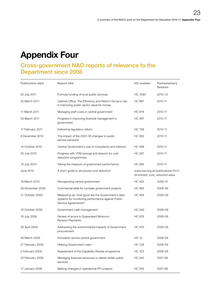# <span id="page-22-0"></span>Appendix Four

### Cross-government NAO reports of relevance to the Department since 2008

| <b>Publication date</b> | <b>Report title</b>                                                                                                          | <b>HC</b> number               | Parliamentary<br><b>Session</b>   |
|-------------------------|------------------------------------------------------------------------------------------------------------------------------|--------------------------------|-----------------------------------|
| 20 July 2011            | Formula funding of local public services                                                                                     | HC 1090                        | 2010-12                           |
| 25 March 2011           | Cabinet Office: The Efficiency and Reform Group's role<br>in improving public sector value for money                         | HC 887                         | 2010-11                           |
| 11 March 2011           | Managing staff costs in central government                                                                                   | <b>HC 818</b>                  | 2010-11                           |
| 03 March 2011           | Progress in improving financial management in<br>government                                                                  | <b>HC 487</b>                  | 2010-11                           |
| 17 February 2011        | Delivering regulatory reform                                                                                                 | <b>HC 758</b>                  | 2010-11                           |
| 8 December 2010         | The impact of the 2007-08 changes to public<br>service pensions                                                              | HC 662                         | 2010-11                           |
| 14 October 2010         | Central Government's use of consultants and interims                                                                         | HC 488                         | 2010-11                           |
| 20 July 2010            | Progress with VFM savings and lessons for cost<br>reduction programmes                                                       | <b>HC 291</b>                  | 2010-11                           |
| 16 July 2010            | Taking the measure of government performance                                                                                 | <b>HC 284</b>                  | 2010-11                           |
| June 2010               | A short guide to structured cost reduction                                                                                   | structured_cost_reduction.aspx | www.nao.org.uk/publications/1011/ |
| 18 March 2010           | Reorganising central government                                                                                              | <b>HC 452</b>                  | 2009-10                           |
| 06 November 2009        | Commercial skills for complex government projects                                                                            | HC 962                         | 2008-09                           |
| 21 October 2009         | Measuring up: How good are the Government's data<br>systems for monitoring performance against Public<br>Service Agreements? | HC 465                         | 2008-09                           |
| 16 October 2009         | Government cash management                                                                                                   | HC 546                         | 2008-09                           |
| 16 July 2009            | Review of errors in Guaranteed Minimum<br>Pension Payments                                                                   | <b>HC 878</b>                  | 2008-09                           |
| 29 April 2009           | Addressing the environmental impacts of Government<br>procurement                                                            | HC 420                         | 2008-09                           |
| 26 March 2009           | Innovation across central government                                                                                         | <b>HC 12</b>                   | 2008-09                           |
| 27 February 2009        | Helping Government Learn                                                                                                     | HC 129                         | 2008-09                           |
| 5 February 2009         | Assessment of the Capability Review programme                                                                                | <b>HC 123</b>                  | 2008-09                           |
| 20 February 2008        | Managing financial resources to deliver better public<br>services                                                            | <b>HC 240</b>                  | 2007-08                           |
| 17 January 2008         | Making changes in operational PFI projects                                                                                   | <b>HC 205</b>                  | 2007-08                           |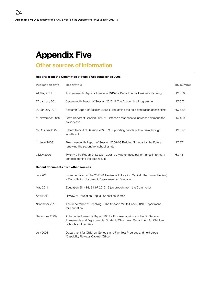# <span id="page-23-0"></span>Appendix Five

### Other sources of information

#### Reports from the Committee of Public Accounts since 2008

| <b>Publication date</b>                    | <b>Report title</b>                                                                                                                                                        | <b>HC</b> number |
|--------------------------------------------|----------------------------------------------------------------------------------------------------------------------------------------------------------------------------|------------------|
| 24 May 2011                                | Thirty-seventh Report of Session 2010–12 Departmental Business Planning                                                                                                    | HC 650           |
| 27 January 2011                            | Seventeenth Report of Session 2010-11 The Academies Programme                                                                                                              | <b>HC 552</b>    |
| 20 January 2011                            | Fifteenth Report of Session 2010-11 Educating the next generation of scientists                                                                                            | <b>HC 632</b>    |
| 11 November 2010                           | Sixth Report of Session 2010-11 Cafcass's response to increased demand for<br>its services                                                                                 | HC 439           |
| 15 October 2009                            | Fiftieth Report of Session 2008-09 Supporting people with autism through<br>adulthood                                                                                      | <b>HC 697</b>    |
| 11 June 2009                               | Twenty-seventh Report of Session 2008-09 Building Schools for the Future:<br>renewing the secondary school estate                                                          | <b>HC 274</b>    |
| 7 May 2009                                 | Twenty-third Report of Session 2008-09 Mathematics performance in primary<br>schools: getting the best results                                                             | <b>HC 44</b>     |
| <b>Recent documents from other sources</b> |                                                                                                                                                                            |                  |
| <b>July 2011</b>                           | Implementation of the 2010-11 Review of Education Capital (The James Review)<br>- Consultation document, Department for Education                                          |                  |
| May 2011                                   | Education Bill – HL Bill 67 2010-12 (as brought from the Commons)                                                                                                          |                  |
| April 2011                                 | Review of Education Capital, Sebastian James                                                                                                                               |                  |
| November 2010                              | The Importance of Teaching – The Schools White Paper 2010, Department<br>for Education                                                                                     |                  |
| December 2009                              | Autumn Performance Report 2009 - Progress against our Public Service<br>Agreements and Departmental Strategic Objectives, Department for Children,<br>Schools and Families |                  |
| <b>July 2008</b>                           | Department for Children, Schools and Families: Progress and next steps<br>(Capability Review), Cabinet Office                                                              |                  |